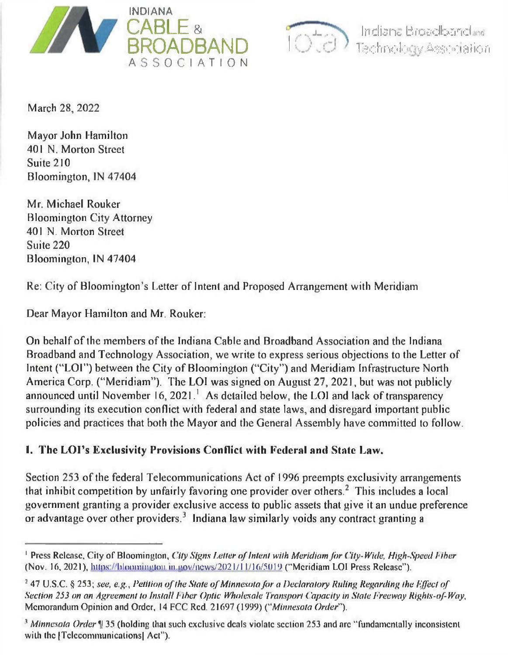



Indiana Broadbandi, 1 feehno I\*! *y* Assc ci.81 io n

March 28, 2022

Mayor John Hamilton 401 N. Morton Street Suite 210 Bloomington, IN 47404

Mr. Michael Rouker Bloomington City Attorney 401 N. Morton Street Suite 220 Bloomington, IN 47404

Re: City of Bloomington's Letter of Intent and Proposed Arrangement with Meridiam

Dear Mayor Hamilton and Mr. Rouker:

On behalf of the members of the Indiana Cable and Broadband Association and the Indiana Broadband and Technology Association, we write to express serious objections to the Letter of Intent ("LOI") between the City of Bloomington ("City") and Meridiam Infrastructure North America Corp. ("Meridiam"). The LOI was signed on August 27, 2021, but was not publicly announced until November 16, 2021.<sup>1</sup> As detailed below, the LOI and lack of transparency surrounding its execution conflict with federal and state laws, and disregard important public policies and practices that both the Mayor and the General Assembly have committed to follow.

## **I. The LOPs Exclusivity Provisions Conflict with Federal and State Law.**

Section 253 of the federal Telecommunications Act of 1996 preempts exclusivity arrangements that inhibit competition by unfairly favoring one provider over others.<sup>2</sup> This includes a local government granting a provider exclusive access to public assets that give it an undue preference or advantage over other providers.<sup>3</sup> Indiana law similarly voids any contract granting a

<sup>&</sup>lt;sup>1</sup> Press Release, City of Bloomington, *City Signs Letter of Intent with Meridiam for City-Wide, High-Speed Fiber* (Nov. 16, 2021), https://bloomington.in.gov/ncws/2021/11/16/5019 ("Meridiam LOI Press Release").

<sup>&</sup>lt;sup>2</sup> 47 U.S.C. § 253; see, e.g., Petition of the State of Minnesota for a Declaratory Ruling Regarding the Effect of *Section 253 on an Agreement to Install Liber Optic Wholesale Transport ( 'opacity in State Freeway Rights-of-Way,* Memorandum Opinion and Order, 14 FCC Red. 21697 (1999) ("*Minnesota Order").*

<sup>&</sup>lt;sup>3</sup> Minnesota Order <sup>1</sup> 35 (holding that such exclusive deals violate section 253 and arc "fundamentally inconsistent with the *[Telecommunications]* Act").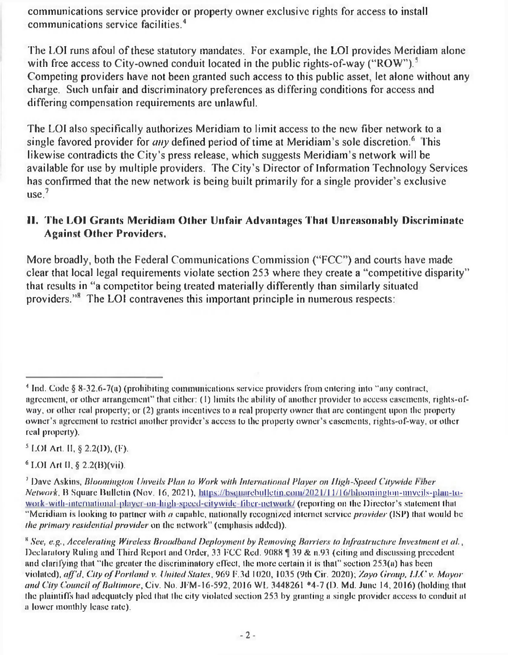communications service provider or property owner exclusive rights for access to install communications service facilities.<sup>4</sup>

The LOI runs afoul of these statutory mandates. For example, the LOl provides Meridiam alone with free access to City-owned conduit located in the public rights-of-way ("ROW").<sup>5</sup> Competing providers have not been granted such access to this public asset, let alone without any charge. Such unfair and discriminatory preferences as differing conditions for access and differing compensation requirements are unlawful.

The LOl also specifically authorizes Meridiam to limit access to the new fiber network to a single favored provider for *any* defined period of time at Meridiam's sole discretion.<sup>6</sup> This likewise contradicts the City's press release, which suggests Meridiam's network will be available for use by multiple providers. The City's Director of Information Technology Services has confirmed that the new network is being built primarily for a single provider's exclusive  $use<sup>7</sup>$ 

## **II. The LOI Grants Meridiam Other Unfair Advantages That Unreasonably Discriminate Against Other Providers.**

More broadly, both the Federal Communications Commission ("FCC") and courts have made clear that local legal requirements violate section 253 where they create a "competitive disparity" that results in "a competitor being treated materially differently than similarly situated providers."8 The LOI contravenes this important principle in numerous respects:

5 LOI Art. II, § 2.2(D), (F).

6 LOI Art II, § 2.2(B)(vii).

<sup>1</sup> Ind. Code § 8-32.6-7(a) (prohibiting communications service providers from entering into "any contract, agreement, or other arrangement" that either: (I) limits the ability of another provider to access easements, rights-ofway, or other real property; or (2) grants incentives to a real property owner that are contingent upon the property owner's agreement to restrict another provider's access to the properly owner's easements, rights-of-way, or other real property).

*<sup>&#</sup>x27;* Dave Askins, *Bloomington Unveils Plan to Work with International Player on High-Speed Citywide liber Network*, B Square Bulletin (Nov. 16, 2021), https://bsquarebulletin.com/2021/11/16/bloomington-unvcils-plan-towork-with-international-player-on-high-speed-city wide-fiber-net work/ (reporting on the Director's statement that "Meridiam is looking to partner with *a* capable, nationally recognized internet service *provider* (ISP) that would be *the primary residential provider* on the network" (emphasis added)).

s *See, e.g.. Accelerating Wireless Broadband Deployment by Removing Barriers to Infrastructure Investment et al*. , Declaratory Ruling and Third Report and Order, 33 FCC Red. 9088  $\parallel$  39 & n.93 (citing and discussing precedent and clarifying that "the greater the discriminatory effect, the more certain it is that" section 253(a) has been violated), *a/f'd, City o f Portland* v. *United States,* 969 F.3d 1020, 1035 (9th Cif. 2020); *Zayo Group, LLC* v. *Mayor and City Council of Baltimore, Civ. No. JFM-16-592, 2016 WL 3448261 \*4-7 (D. Md. June 14, 2016) (holding that* the plaintiffs had adequately pled that the city violated section 253 by granting a single provider access to conduit at a lower monthly lease rate).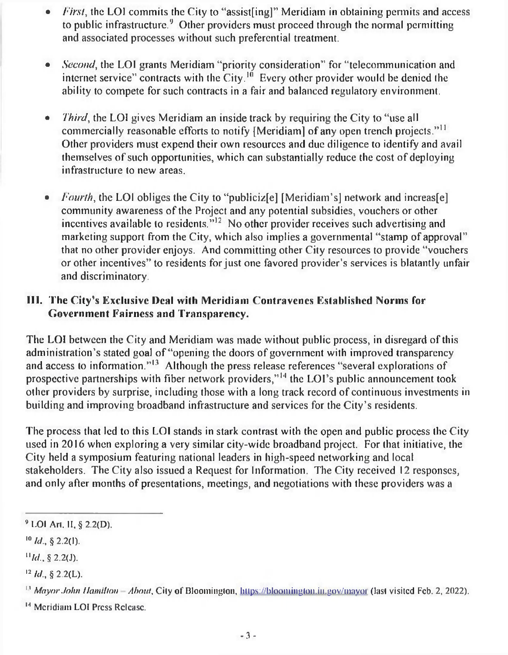- *First*, the LOI commits the City to "assist [ing]" Meridiam in obtaining permits and access to public infrastructure.<sup>9</sup> Other providers must proceed through the normal permitting and associated processes without such preferential treatment.
- *Second*, the LOI grants Meridiam "priority consideration" for "telecommunication and internet service" contracts with the City.<sup>10</sup> Every other provider would be denied the ability to compete for such contracts in a fair and balanced regulatory environment.
- *Third*, the LOI gives Meridiam an inside track by requiring the City to "use all commercially reasonable efforts to notify [Meridiam] of any open trench projects."<sup>11</sup> Other providers must expend their own resources and due diligence to identify and avail themselves of such opportunities, which can substantially reduce the cost of deploying infrastructure to new areas.
- *Fourth*, the LOI obliges the City to "publicizel [Meridiam's] network and increasel community awareness of the Project and any potential subsidies, vouchers or other incentives available to residents."12 No other provider receives such advertising and marketing support from the City, which also implies a governmental "stamp of approval" that no other provider enjoys. And committing other City resources to provide "vouchers or other incentives" to residents for just one favored provider's services is blatantly unfair and discriminatory.

## **III. The City's Exclusive Deal with Meridiam Contravenes Established Norms for Government Fairness and Transparency.**

The LOI between the City and Meridiam was made without public process, in disregard of this administration's stated goal of "opening the doors of government with improved transparency and access to information."<sup>13</sup> Although the press release references "several explorations of prospective partnerships with fiber network providers,"<sup>14</sup> the LOI's public announcement took other providers by surprise, including those with a long track record of continuous investments in building and improving broadband infrastructure and services for the City's residents.

The process that led to this LOI stands in stark contrast with the open and public process the City used in 2016 when exploring a very similar city-wide broadband project. For that initiative, the City held a symposium featuring national leaders in high-speed networking and local stakeholders. The City also issued a Request for Information. The City received 12 responses, and only after months of presentations, meetings, and negotiations with these providers was a

<sup>9</sup> LOI Art. II, § 2.2(D).

 $^{10}$  *ld.*, § 2.2(1).

 $H/d.$  § 2.2(J).

 $12$  *ld.*, § 2.2(L).

<sup>&</sup>lt;sup>13</sup> Mayor John Hamilton - About, City of Bloomington, https://bloomington.in.gov/mayor (last visited Feb. 2, 2022).

<sup>&</sup>lt;sup>14</sup> Meridiam LOI Press Release.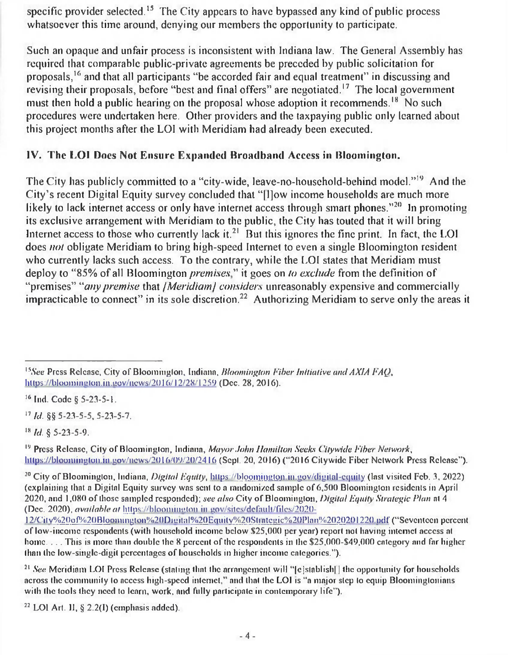specific provider selected.<sup>15</sup> The City appears to have bypassed any kind of public process whatsoever this time around, denying our members the opportunity to participate.

Such an opaque and unfair process is inconsistent with Indiana law. The General Assembly has required that comparable public-private agreements be preceded by public solicitation for proposals,16 and that all participants "be accorded fair and equal treatment" in discussing and revising their proposals, before "best and final offers" are negotiated.<sup>17</sup> The local government must then hold a public hearing on the proposal whose adoption it recommends.<sup>18</sup> No such procedures were undertaken here. Other providers and the taxpaying public only learned about this project months after the LOI with Meridiam had already been executed.

## **IV. The LOI Does Not Ensure Expanded Broadband Access in Bloomington.**

The City has publicly committed to a "city-wide, leave-no-household-behind model."19 And the City's recent Digital Equity survey concluded that "|l]ow income households are much more likely to lack internet access or only have internet access through smart phones."<sup>20</sup> In promoting its exclusive arrangement with Meridiam to the public, the City has touted that it will bring Internet access to those who currently lack it.<sup>21</sup> But this ignores the fine print. In fact, the LOI does *not* obligate Meridiam to bring high-speed Internet to even a single Bloomington resident who currently lacks such access. To the contrary, while the LOI states that Meridiam must deploy to "85% of all Bloomington *premises*'' it goes on *to exclude* from the definition of "premises" *"any premise* that / *Meridiam/ considers* unreasonably expensive and commercially impracticable to connect" in its sole discretion.<sup>22</sup> Authorizing Meridiam to serve only the areas it

16 Ind. Code §5-23-5-1.

17 *hi.* §§ 5-23-5-5, 5-23-5-7.

18 *hi.* § 5-23-5-9.

<sup>19</sup> Press Release, City of Bloomington, Indiana, *Mayor John Hamilton Seeks Citywide Fiber Network*, lutps://bloomington.in.gov/ncws/2016/09/20/2416 (Sept. 20, 2016) ("2016 City wide Fiber Network Press Release").

<sup>20</sup> City of Bloomington, Indiana, *Digital Equity*, https://bloomington.in.gov/digital-equity (last visited Feb. 3, 2022) (explaining that a Digital Equity survey was sent to a randomized sample of 6,500 Bloomington residents in April 2020, and 1,080 of those sampled responded); *see also* City of Bloomington, *Digital Equity Strategic Flan* at 4 (Dec. 2020), *available at* htlps://hloominulon in uov/sitcs/dcfaull/filcs/2020-

 $22$  LOI Art. II,  $\S$  2.2(I) (emphasis added).

*lsSee* Press Release, City of Bloomington, Indiana, *Bloomington Fiber Initiative amt AXIA FAQ*, https://bloomington.in.gov/news/2016/12/28/1259 (Dec. 28, 2016).

<sup>12/</sup>City%20of%20Bloomington%20Digital%20Equity%20Strategic%20Plan%2020201220.pdf ("Seventeen percent of low-income respondents (with household income below \$25,000 per year) report not having internet access at home. . . . This is more than double the 8 percent of the respondents in the \$25,000-\$49,000 category and far higher than the low-singlc-digit percentages of households in higher income categories.").

<sup>&</sup>lt;sup>21</sup> *See* Meridiam LOI Press Release (stating that the arrangement will "[e]stablish]] the opportunity for households across the community to access high-speed internet," and that the LOI is "a major step to equip Bloomingtonians with the tools they need to learn, work, and fully participate in contemporary life").